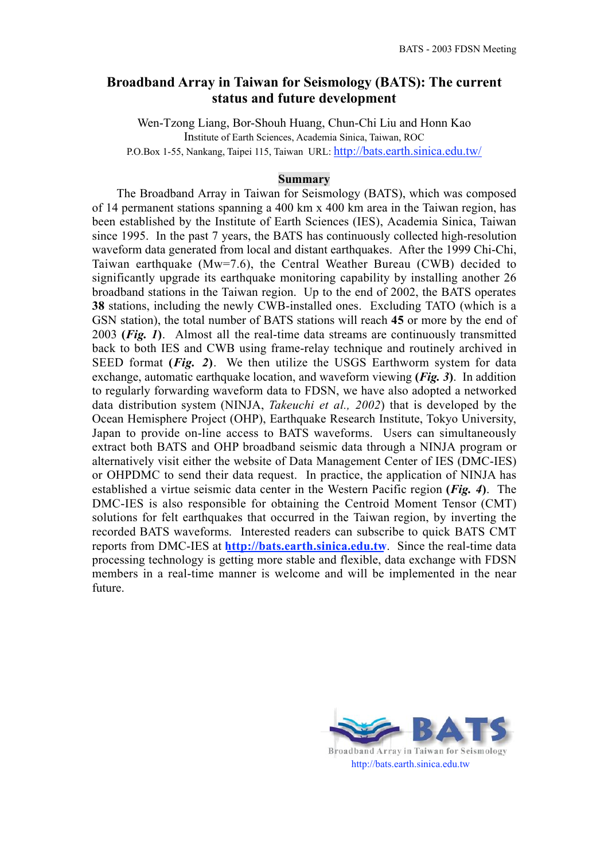## **Broadband Array in Taiwan for Seismology (BATS): The current status and future development**

Wen-Tzong Liang, Bor-Shouh Huang, Chun-Chi Liu and Honn Kao Institute of Earth Sciences, Academia Sinica, Taiwan, ROC P.O.Box 1-55, Nankang, Taipei 115, Taiwan URL: http://bats.earth.sinica.edu.tw/

## **Summary**

The Broadband Array in Taiwan for Seismology (BATS), which was composed of 14 permanent stations spanning a 400 km x 400 km area in the Taiwan region, has been established by the Institute of Earth Sciences (IES), Academia Sinica, Taiwan since 1995. In the past 7 years, the BATS has continuously collected high-resolution waveform data generated from local and distant earthquakes. After the 1999 Chi-Chi, Taiwan earthquake (Mw=7.6), the Central Weather Bureau (CWB) decided to significantly upgrade its earthquake monitoring capability by installing another 26 broadband stations in the Taiwan region. Up to the end of 2002, the BATS operates **38** stations, including the newly CWB-installed ones. Excluding TATO (which is a GSN station), the total number of BATS stations will reach **45** or more by the end of 2003 **(***Fig. 1***)**. Almost all the real-time data streams are continuously transmitted back to both IES and CWB using frame-relay technique and routinely archived in SEED format **(***Fig. 2***)**. We then utilize the USGS Earthworm system for data exchange, automatic earthquake location, and waveform viewing **(***Fig. 3***)**. In addition to regularly forwarding waveform data to FDSN, we have also adopted a networked data distribution system (NINJA, *Takeuchi et al., 2002*) that is developed by the Ocean Hemisphere Project (OHP), Earthquake Research Institute, Tokyo University, Japan to provide on-line access to BATS waveforms. Users can simultaneously extract both BATS and OHP broadband seismic data through a NINJA program or alternatively visit either the website of Data Management Center of IES (DMC-IES) or OHPDMC to send their data request. In practice, the application of NINJA has established a virtue seismic data center in the Western Pacific region **(***Fig. 4***)**. The DMC-IES is also responsible for obtaining the Centroid Moment Tensor (CMT) solutions for felt earthquakes that occurred in the Taiwan region, by inverting the recorded BATS waveforms. Interested readers can subscribe to quick BATS CMT reports from DMC-IES at **http://bats.earth.sinica.edu.tw**. Since the real-time data processing technology is getting more stable and flexible, data exchange with FDSN members in a real-time manner is welcome and will be implemented in the near future.



Broadband Array in Taiwan for Seismology http://bats.earth.sinica.edu.tw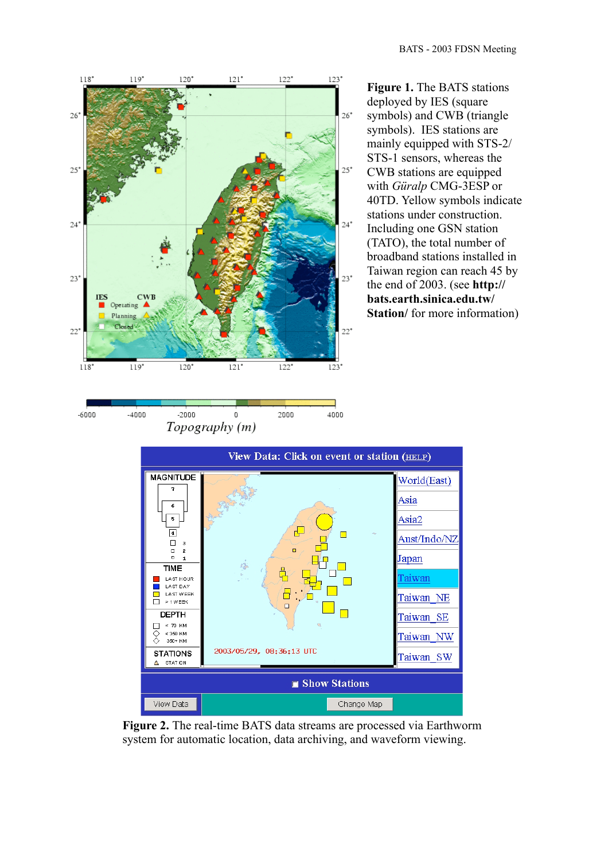

 $-2000$ 

 $\mathbf 0$ 

Topography (m)

 $-6000$ 

 $-4000$ 



deployed by IES (square symbols) and CWB (triangle symbols). IES stations are mainly equipped with STS-2/ STS-1 sensors, whereas the CWB stations are equipped with *Güralp* CMG-3ESP or 40TD. Yellow symbols indicate stations under construction. Including one GSN station (TATO), the total number of broadband stations installed in Taiwan region can reach 45 by the end of 2003. (see **http:// bats.earth.sinica.edu.tw/ Station**/ for more information)



2000

4000

**Figure 2.** The real-time BATS data streams are processed via Earthworm system for automatic location, data archiving, and waveform viewing.